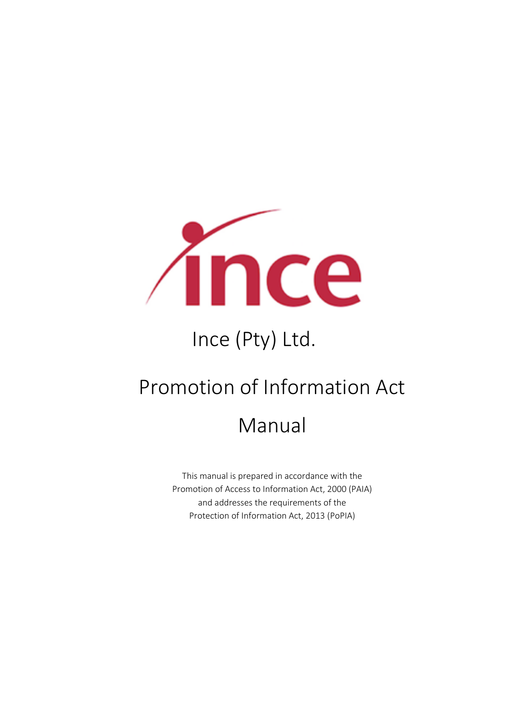

# Ince (Pty) Ltd.

## Promotion of Information Act

## Manual

This manual is prepared in accordance with the Promotion of Access to Information Act, 2000 (PAIA) and addresses the requirements of the Protection of Information Act, 2013 (PoPIA)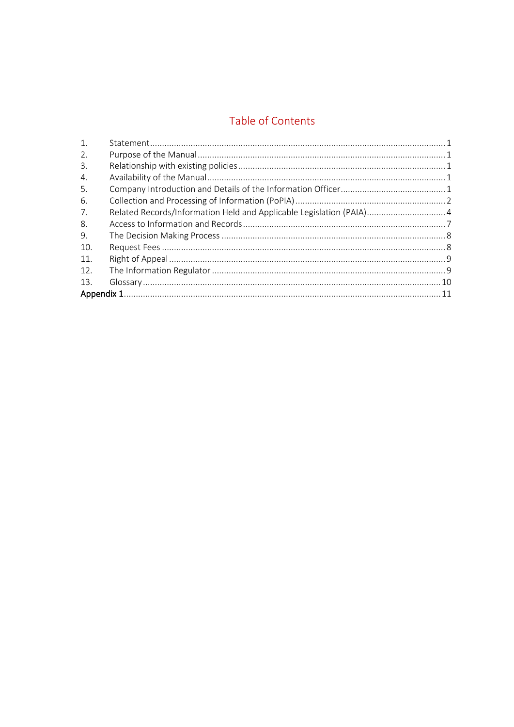## Table of Contents

| 1.  |                                                                      |  |
|-----|----------------------------------------------------------------------|--|
| 2.  |                                                                      |  |
| 3.  |                                                                      |  |
| 4.  |                                                                      |  |
| 5.  |                                                                      |  |
| 6.  |                                                                      |  |
| 7.  | Related Records/Information Held and Applicable Legislation (PAIA) 4 |  |
| 8.  |                                                                      |  |
| 9.  |                                                                      |  |
| 10. |                                                                      |  |
| 11. |                                                                      |  |
| 12. |                                                                      |  |
| 13. |                                                                      |  |
|     |                                                                      |  |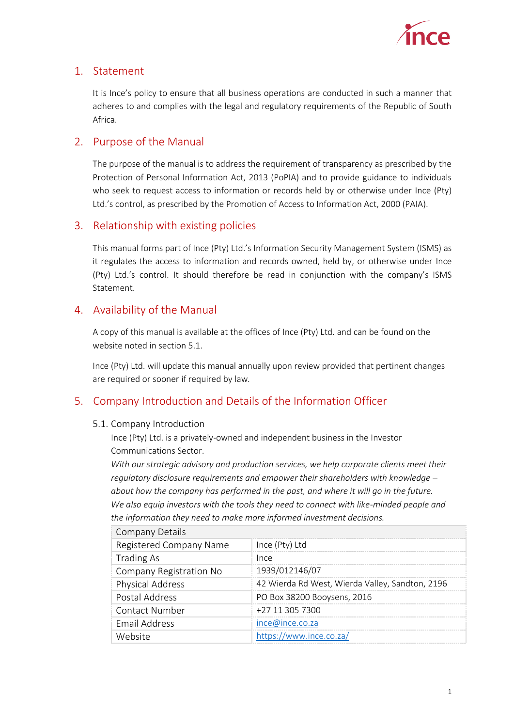

## <span id="page-2-0"></span>1. Statement

It is Ince's policy to ensure that all business operations are conducted in such a manner that adheres to and complies with the legal and regulatory requirements of the Republic of South Africa.

### <span id="page-2-1"></span>2. Purpose of the Manual

The purpose of the manual is to address the requirement of transparency as prescribed by the Protection of Personal Information Act, 2013 (PoPIA) and to provide guidance to individuals who seek to request access to information or records held by or otherwise under Ince (Pty) Ltd.'s control, as prescribed by the Promotion of Access to Information Act, 2000 (PAIA).

### <span id="page-2-2"></span>3. Relationship with existing policies

This manual forms part of Ince (Pty) Ltd.'s Information Security Management System (ISMS) as it regulates the access to information and records owned, held by, or otherwise under Ince (Pty) Ltd.'s control. It should therefore be read in conjunction with the company's ISMS Statement.

## <span id="page-2-3"></span>4. Availability of the Manual

A copy of this manual is available at the offices of Ince (Pty) Ltd. and can be found on the website noted in section 5.1.

Ince (Pty) Ltd. will update this manual annually upon review provided that pertinent changes are required or sooner if required by law.

### <span id="page-2-4"></span>5. Company Introduction and Details of the Information Officer

#### 5.1. Company Introduction

Ince (Pty) Ltd. is a privately-owned and independent business in the Investor Communications Sector.

*With our strategic advisory and production services, we help corporate clients meet their regulatory disclosure requirements and empower their shareholders with knowledge – about how the company has performed in the past, and where it will go in the future. We also equip investors with the tools they need to connect with like-minded people and the information they need to make more informed investment decisions.*

| <b>Company Details</b>  |                                                 |
|-------------------------|-------------------------------------------------|
| Registered Company Name | Ince (Pty) Ltd                                  |
| <b>Trading As</b>       | Ince                                            |
| Company Registration No | 1939/012146/07                                  |
| <b>Physical Address</b> | 42 Wierda Rd West, Wierda Valley, Sandton, 2196 |
| Postal Address          | PO Box 38200 Booysens, 2016                     |
| Contact Number          | +27 11 305 7300                                 |
| <b>Email Address</b>    | ince@ince.co.za                                 |
| Website                 | https://www.ince.co.za/                         |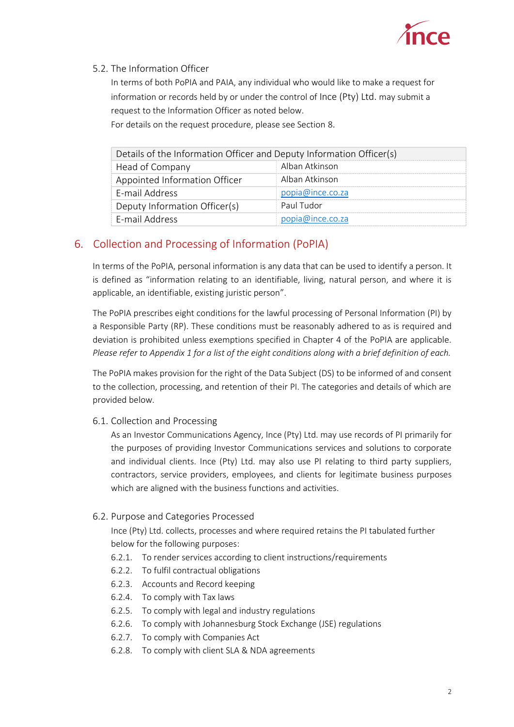

#### 5.2. The Information Officer

In terms of both PoPIA and PAIA, any individual who would like to make a request for information or records held by or under the control of Ince (Pty) Ltd. may submit a request to the Information Officer as noted below.

For details on the request procedure, please see Section 8.

| Details of the Information Officer and Deputy Information Officer(s) |                  |  |
|----------------------------------------------------------------------|------------------|--|
| Head of Company                                                      | Alban Atkinson   |  |
| Appointed Information Officer                                        | Alban Atkinson   |  |
| F-mail Address                                                       | popia@ince.co.za |  |
| Deputy Information Officer(s)                                        | Paul Tudor       |  |
| E-mail Address                                                       | popia@ince.co.za |  |

## <span id="page-3-0"></span>6. Collection and Processing of Information (PoPIA)

In terms of the PoPIA, personal information is any data that can be used to identify a person. It is defined as "information relating to an identifiable, living, natural person, and where it is applicable, an identifiable, existing juristic person".

The PoPIA prescribes eight conditions for the lawful processing of Personal Information (PI) by a Responsible Party (RP). These conditions must be reasonably adhered to as is required and deviation is prohibited unless exemptions specified in Chapter 4 of the PoPIA are applicable. *Please refer to Appendix 1 for a list of the eight conditions along with a brief definition of each.*

The PoPIA makes provision for the right of the Data Subject (DS) to be informed of and consent to the collection, processing, and retention of their PI. The categories and details of which are provided below.

6.1. Collection and Processing

As an Investor Communications Agency, Ince (Pty) Ltd. may use records of PI primarily for the purposes of providing Investor Communications services and solutions to corporate and individual clients. Ince (Pty) Ltd. may also use PI relating to third party suppliers, contractors, service providers, employees, and clients for legitimate business purposes which are aligned with the business functions and activities.

#### 6.2. Purpose and Categories Processed

Ince (Pty) Ltd. collects, processes and where required retains the PI tabulated further below for the following purposes:

- 6.2.1. To render services according to client instructions/requirements
- 6.2.2. To fulfil contractual obligations
- 6.2.3. Accounts and Record keeping
- 6.2.4. To comply with Tax laws
- 6.2.5. To comply with legal and industry regulations
- 6.2.6. To comply with Johannesburg Stock Exchange (JSE) regulations
- 6.2.7. To comply with Companies Act
- 6.2.8. To comply with client SLA & NDA agreements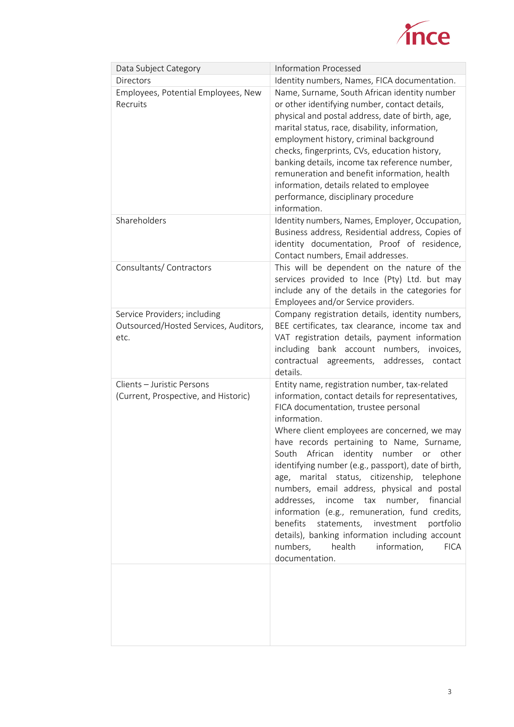

| Data Subject Category                                                         | <b>Information Processed</b>                                                                                                                                                                                                                                                                                                                                                                                                                                                                                                                                                                                                                                                                                                        |
|-------------------------------------------------------------------------------|-------------------------------------------------------------------------------------------------------------------------------------------------------------------------------------------------------------------------------------------------------------------------------------------------------------------------------------------------------------------------------------------------------------------------------------------------------------------------------------------------------------------------------------------------------------------------------------------------------------------------------------------------------------------------------------------------------------------------------------|
| Directors                                                                     | Identity numbers, Names, FICA documentation.                                                                                                                                                                                                                                                                                                                                                                                                                                                                                                                                                                                                                                                                                        |
| Employees, Potential Employees, New<br>Recruits                               | Name, Surname, South African identity number<br>or other identifying number, contact details,<br>physical and postal address, date of birth, age,<br>marital status, race, disability, information,<br>employment history, criminal background<br>checks, fingerprints, CVs, education history,<br>banking details, income tax reference number,<br>remuneration and benefit information, health<br>information, details related to employee<br>performance, disciplinary procedure<br>information.                                                                                                                                                                                                                                 |
| Shareholders                                                                  | Identity numbers, Names, Employer, Occupation,<br>Business address, Residential address, Copies of<br>identity documentation, Proof of residence,<br>Contact numbers, Email addresses.                                                                                                                                                                                                                                                                                                                                                                                                                                                                                                                                              |
| Consultants/Contractors                                                       | This will be dependent on the nature of the<br>services provided to Ince (Pty) Ltd. but may<br>include any of the details in the categories for<br>Employees and/or Service providers.                                                                                                                                                                                                                                                                                                                                                                                                                                                                                                                                              |
| Service Providers; including<br>Outsourced/Hosted Services, Auditors,<br>etc. | Company registration details, identity numbers,<br>BEE certificates, tax clearance, income tax and<br>VAT registration details, payment information<br>including bank account numbers,<br>invoices,<br>contractual<br>agreements, addresses,<br>contact<br>details.                                                                                                                                                                                                                                                                                                                                                                                                                                                                 |
| Clients - Juristic Persons<br>(Current, Prospective, and Historic)            | Entity name, registration number, tax-related<br>information, contact details for representatives,<br>FICA documentation, trustee personal<br>information.<br>Where client employees are concerned, we may<br>have records pertaining to Name, Surname,<br>South African identity number or other<br>identifying number (e.g., passport), date of birth,<br>age, marital status, citizenship, telephone<br>numbers, email address, physical and postal<br>addresses, income tax number, financial<br>information (e.g., remuneration, fund credits,<br>benefits<br>statements,<br>investment<br>portfolio<br>details), banking information including account<br>numbers,<br>health<br>information,<br><b>FICA</b><br>documentation. |
|                                                                               |                                                                                                                                                                                                                                                                                                                                                                                                                                                                                                                                                                                                                                                                                                                                     |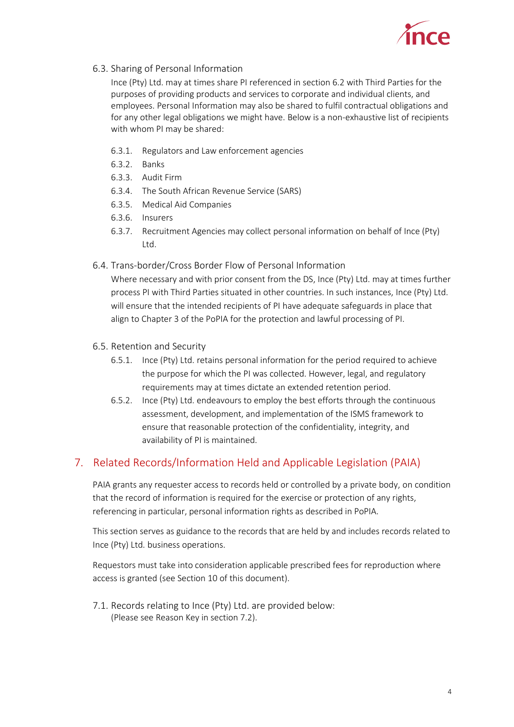

6.3. Sharing of Personal Information

Ince (Pty) Ltd. may at times share PI referenced in section 6.2 with Third Parties for the purposes of providing products and services to corporate and individual clients, and employees. Personal Information may also be shared to fulfil contractual obligations and for any other legal obligations we might have. Below is a non-exhaustive list of recipients with whom PI may be shared:

- 6.3.1. Regulators and Law enforcement agencies
- 6.3.2. Banks
- 6.3.3. Audit Firm
- 6.3.4. The South African Revenue Service (SARS)
- 6.3.5. Medical Aid Companies
- 6.3.6. Insurers
- 6.3.7. Recruitment Agencies may collect personal information on behalf of Ince (Pty) Ltd.

#### 6.4. Trans-border/Cross Border Flow of Personal Information

Where necessary and with prior consent from the DS, Ince (Pty) Ltd. may at times further process PI with Third Parties situated in other countries. In such instances, Ince (Pty) Ltd. will ensure that the intended recipients of PI have adequate safeguards in place that align to Chapter 3 of the PoPIA for the protection and lawful processing of PI.

- 6.5. Retention and Security
	- 6.5.1. Ince (Pty) Ltd. retains personal information for the period required to achieve the purpose for which the PI was collected. However, legal, and regulatory requirements may at times dictate an extended retention period.
	- 6.5.2. Ince (Pty) Ltd. endeavours to employ the best efforts through the continuous assessment, development, and implementation of the ISMS framework to ensure that reasonable protection of the confidentiality, integrity, and availability of PI is maintained.

## <span id="page-5-0"></span>7. Related Records/Information Held and Applicable Legislation (PAIA)

PAIA grants any requester access to records held or controlled by a private body, on condition that the record of information is required for the exercise or protection of any rights, referencing in particular, personal information rights as described in PoPIA.

This section serves as guidance to the records that are held by and includes records related to Ince (Pty) Ltd. business operations.

Requestors must take into consideration applicable prescribed fees for reproduction where access is granted (see Section 10 of this document).

7.1. Records relating to Ince (Pty) Ltd. are provided below: (Please see Reason Key in section 7.2).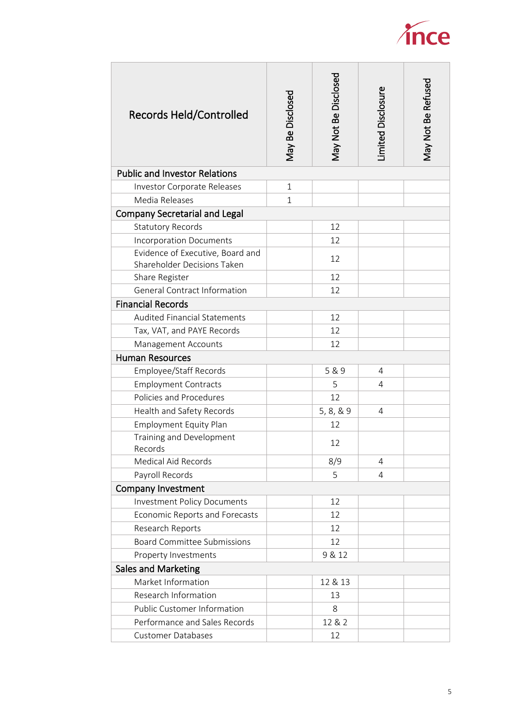

| <b>Records Held/Controlled</b>       | May Be Disclosed | May Not Be Disclosed | <b>imited Disclosure</b> | May Not Be Refused |
|--------------------------------------|------------------|----------------------|--------------------------|--------------------|
| <b>Public and Investor Relations</b> |                  |                      |                          |                    |
| Investor Corporate Releases          | $\mathbf 1$      |                      |                          |                    |
| Media Releases                       | $\mathbf{1}$     |                      |                          |                    |
| <b>Company Secretarial and Legal</b> |                  |                      |                          |                    |
| <b>Statutory Records</b>             |                  | 12                   |                          |                    |
| <b>Incorporation Documents</b>       |                  | 12                   |                          |                    |
| Evidence of Executive, Board and     |                  | 12                   |                          |                    |
| Shareholder Decisions Taken          |                  |                      |                          |                    |
| Share Register                       |                  | 12                   |                          |                    |
| <b>General Contract Information</b>  |                  | 12                   |                          |                    |
| <b>Financial Records</b>             |                  |                      |                          |                    |
| <b>Audited Financial Statements</b>  |                  | 12                   |                          |                    |
| Tax, VAT, and PAYE Records           |                  | 12                   |                          |                    |
| Management Accounts                  |                  | 12                   |                          |                    |
| <b>Human Resources</b>               |                  |                      |                          |                    |
| Employee/Staff Records               |                  | 5 & 9                | 4                        |                    |
| <b>Employment Contracts</b>          |                  | 5                    | 4                        |                    |
| Policies and Procedures              |                  | 12                   |                          |                    |
| Health and Safety Records            |                  | 5, 8, 8, 9           | 4                        |                    |
| <b>Employment Equity Plan</b>        |                  | 12                   |                          |                    |
| Training and Development             |                  | 12                   |                          |                    |
| Records                              |                  |                      |                          |                    |
| Medical Aid Records                  |                  | 8/9                  | 4                        |                    |
| Payroll Records                      |                  | 5                    | 4                        |                    |
| <b>Company Investment</b>            |                  |                      |                          |                    |
| <b>Investment Policy Documents</b>   |                  | 12                   |                          |                    |
| Economic Reports and Forecasts       |                  | 12                   |                          |                    |
| Research Reports                     |                  | 12                   |                          |                    |
| <b>Board Committee Submissions</b>   |                  | 12                   |                          |                    |
| Property Investments                 |                  | 9 & 12               |                          |                    |
| Sales and Marketing                  |                  |                      |                          |                    |
| Market Information                   |                  | 12 & 13              |                          |                    |
| Research Information                 |                  | 13                   |                          |                    |
| <b>Public Customer Information</b>   |                  | 8                    |                          |                    |
| Performance and Sales Records        |                  | 12 & 2               |                          |                    |
| <b>Customer Databases</b>            |                  | 12                   |                          |                    |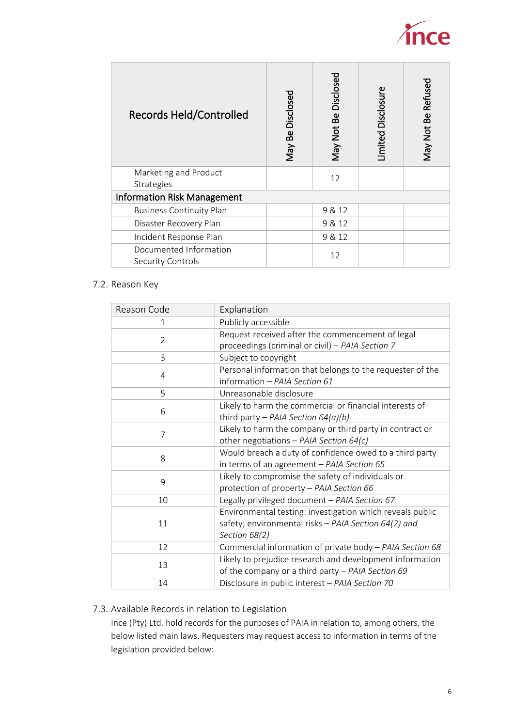

| <b>Records Held/Controlled</b>              | May Be Disclosed | May Not Be Disclosed | imited Disclosure | May Not Be Refused |
|---------------------------------------------|------------------|----------------------|-------------------|--------------------|
| Marketing and Product<br>Strategies         |                  | 12                   |                   |                    |
| <b>Information Risk Management</b>          |                  |                      |                   |                    |
| <b>Business Continuity Plan</b>             |                  | 9 & 12               |                   |                    |
| Disaster Recovery Plan                      |                  | 9 & 12               |                   |                    |
| Incident Response Plan                      |                  | 9 & 12               |                   |                    |
| Documented Information<br>Security Controls |                  | 12                   |                   |                    |

#### 7.2. Reason Key

|  | Reason Code | Explanation                                                                                                                        |
|--|-------------|------------------------------------------------------------------------------------------------------------------------------------|
|  | 1           | Publicly accessible                                                                                                                |
|  | 2           | Request received after the commencement of legal<br>proceedings (criminal or civil) - PAIA Section 7                               |
|  | 3           | Subject to copyright                                                                                                               |
|  | 4           | Personal information that belongs to the requester of the<br>information - PAIA Section 61                                         |
|  | 5           | Unreasonable disclosure                                                                                                            |
|  | 6           | Likely to harm the commercial or financial interests of<br>third party - PAIA Section $64(a)(b)$                                   |
|  | 7           | Likely to harm the company or third party in contract or<br>other negotiations - PAIA Section 64(c)                                |
|  | 8           | Would breach a duty of confidence owed to a third party<br>in terms of an agreement - PAIA Section 65                              |
|  | 9           | Likely to compromise the safety of individuals or<br>protection of property - PAIA Section 66                                      |
|  | 10          | Legally privileged document - PAIA Section 67                                                                                      |
|  | 11          | Environmental testing: investigation which reveals public<br>safety; environmental risks - PAIA Section 64(2) and<br>Section 68(2) |
|  | 12          | Commercial information of private body - PAIA Section 68                                                                           |
|  | 13          | Likely to prejudice research and development information<br>of the company or a third party - PAIA Section 69                      |
|  | 14          | Disclosure in public interest - PAIA Section 70                                                                                    |
|  |             |                                                                                                                                    |

#### 7.3. Available Records in relation to Legislation

Ince (Pty) Ltd. hold records for the purposes of PAIA in relation to, among others, the below listed main laws. Requesters may request access to information in terms of the legislation provided below: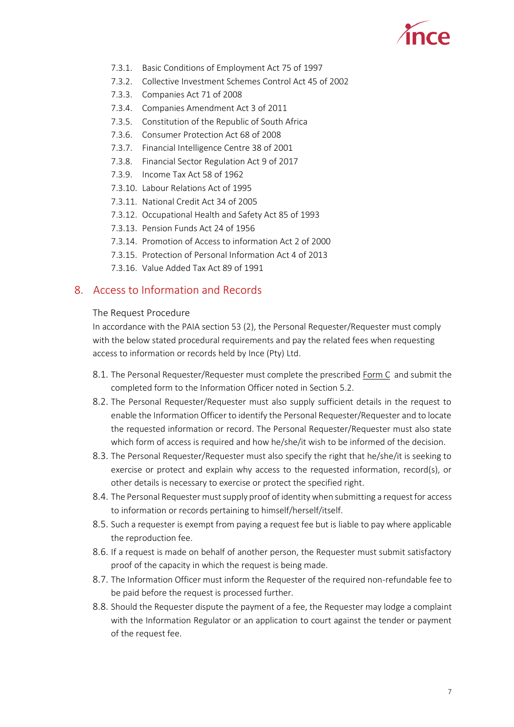

- 7.3.1. Basic Conditions of Employment Act 75 of 1997
- 7.3.2. Collective Investment Schemes Control Act 45 of 2002
- 7.3.3. Companies Act 71 of 2008
- 7.3.4. Companies Amendment Act 3 of 2011
- 7.3.5. Constitution of the Republic of South Africa
- 7.3.6. Consumer Protection Act 68 of 2008
- 7.3.7. Financial Intelligence Centre 38 of 2001
- 7.3.8. Financial Sector Regulation Act 9 of 2017
- 7.3.9. Income Tax Act 58 of 1962
- 7.3.10. Labour Relations Act of 1995
- 7.3.11. National Credit Act 34 of 2005
- 7.3.12. Occupational Health and Safety Act 85 of 1993
- 7.3.13. Pension Funds Act 24 of 1956
- 7.3.14. Promotion of Access to information Act 2 of 2000
- 7.3.15. Protection of Personal Information Act 4 of 2013
- 7.3.16. Value Added Tax Act 89 of 1991

#### <span id="page-8-0"></span>8. Access to Information and Records

#### The Request Procedure

In accordance with the PAIA section 53 (2), the Personal Requester/Requester must comply with the below stated procedural requirements and pay the related fees when requesting access to information or records held by Ince (Pty) Ltd.

- 8.1. The Personal Requester/Requester must complete the prescribed [Form C](http://www.ince.co.za/wp-content/uploads/2021/11/Form-C-J752-Gvt-Form.pdf) and submit the completed form to the Information Officer noted in Section 5.2.
- 8.2. The Personal Requester/Requester must also supply sufficient details in the request to enable the Information Officer to identify the Personal Requester/Requester and to locate the requested information or record. The Personal Requester/Requester must also state which form of access is required and how he/she/it wish to be informed of the decision.
- 8.3. The Personal Requester/Requester must also specify the right that he/she/it is seeking to exercise or protect and explain why access to the requested information, record(s), or other details is necessary to exercise or protect the specified right.
- 8.4. The Personal Requester must supply proof of identity when submitting a request for access to information or records pertaining to himself/herself/itself.
- 8.5. Such a requester is exempt from paying a request fee but is liable to pay where applicable the reproduction fee.
- 8.6. If a request is made on behalf of another person, the Requester must submit satisfactory proof of the capacity in which the request is being made.
- 8.7. The Information Officer must inform the Requester of the required non-refundable fee to be paid before the request is processed further.
- 8.8. Should the Requester dispute the payment of a fee, the Requester may lodge a complaint with the Information Regulator or an application to court against the tender or payment of the request fee.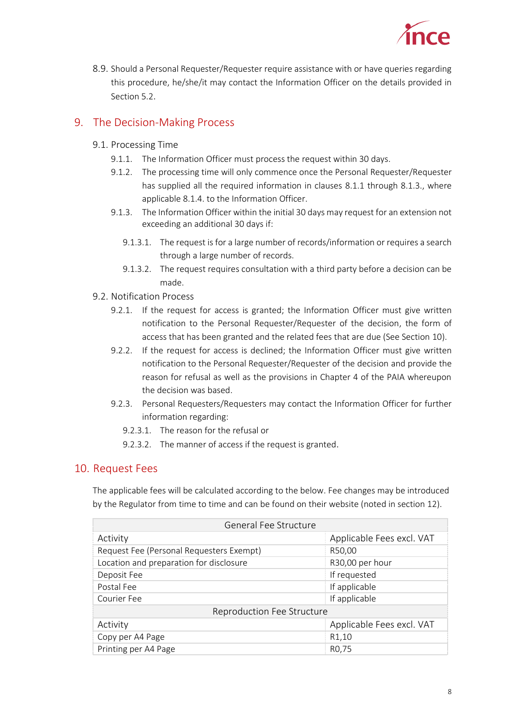

8.9. Should a Personal Requester/Requester require assistance with or have queries regarding this procedure, he/she/it may contact the Information Officer on the details provided in Section 5.2.

## <span id="page-9-0"></span>9. The Decision-Making Process

- 9.1. Processing Time
	- 9.1.1. The Information Officer must process the request within 30 days.
	- 9.1.2. The processing time will only commence once the Personal Requester/Requester has supplied all the required information in clauses 8.1.1 through 8.1.3., where applicable 8.1.4. to the Information Officer.
	- 9.1.3. The Information Officer within the initial 30 days may request for an extension not exceeding an additional 30 days if:
		- 9.1.3.1. The request is for a large number of records/information or requires a search through a large number of records.
		- 9.1.3.2. The request requires consultation with a third party before a decision can be made.
- 9.2. Notification Process
	- 9.2.1. If the request for access is granted; the Information Officer must give written notification to the Personal Requester/Requester of the decision, the form of access that has been granted and the related fees that are due (See Section 10).
	- 9.2.2. If the request for access is declined; the Information Officer must give written notification to the Personal Requester/Requester of the decision and provide the reason for refusal as well as the provisions in Chapter 4 of the PAIA whereupon the decision was based.
	- 9.2.3. Personal Requesters/Requesters may contact the Information Officer for further information regarding:
		- 9.2.3.1. The reason for the refusal or
		- 9.2.3.2. The manner of access if the request is granted.

### <span id="page-9-1"></span>10. Request Fees

The applicable fees will be calculated according to the below. Fee changes may be introduced by the Regulator from time to time and can be found on their website (noted in section 12).

| General Fee Structure                    |                           |  |
|------------------------------------------|---------------------------|--|
| Activity                                 | Applicable Fees excl. VAT |  |
| Request Fee (Personal Requesters Exempt) | R50,00                    |  |
| Location and preparation for disclosure  | R30,00 per hour           |  |
| Deposit Fee                              | If requested              |  |
| Postal Fee                               | If applicable             |  |
| Courier Fee                              | If applicable             |  |
| Reproduction Fee Structure               |                           |  |
| Applicable Fees excl. VAT<br>Activity    |                           |  |
| Copy per A4 Page                         | R1,10                     |  |
| Printing per A4 Page                     | R <sub>0</sub> ,75        |  |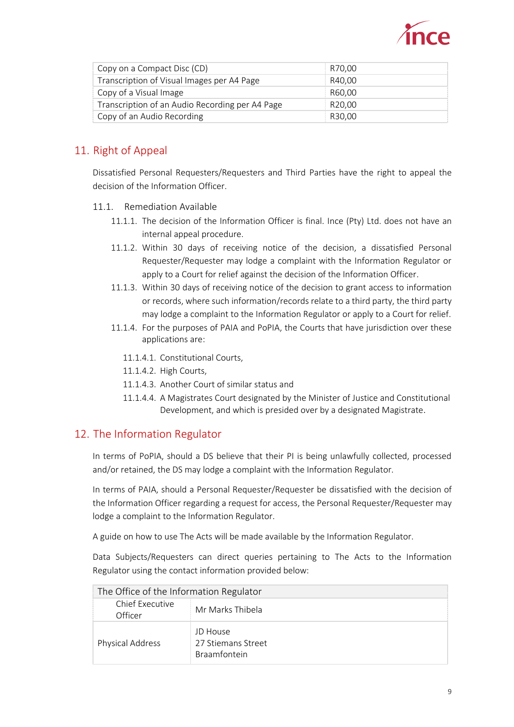

| Copy on a Compact Disc (CD)                     | R70,00             |
|-------------------------------------------------|--------------------|
| Transcription of Visual Images per A4 Page      | R40.00             |
| Copy of a Visual Image                          | R60.00             |
| Transcription of an Audio Recording per A4 Page | R <sub>20.00</sub> |
| Copy of an Audio Recording                      | R30.00             |

## <span id="page-10-0"></span>11. Right of Appeal

Dissatisfied Personal Requesters/Requesters and Third Parties have the right to appeal the decision of the Information Officer.

- 11.1. Remediation Available
	- 11.1.1. The decision of the Information Officer is final. Ince (Pty) Ltd. does not have an internal appeal procedure.
	- 11.1.2. Within 30 days of receiving notice of the decision, a dissatisfied Personal Requester/Requester may lodge a complaint with the Information Regulator or apply to a Court for relief against the decision of the Information Officer.
	- 11.1.3. Within 30 days of receiving notice of the decision to grant access to information or records, where such information/records relate to a third party, the third party may lodge a complaint to the Information Regulator or apply to a Court for relief.
	- 11.1.4. For the purposes of PAIA and PoPIA, the Courts that have jurisdiction over these applications are:
		- 11.1.4.1. Constitutional Courts,
		- 11.1.4.2. High Courts,
		- 11.1.4.3. Another Court of similar status and
		- 11.1.4.4. A Magistrates Court designated by the Minister of Justice and Constitutional Development, and which is presided over by a designated Magistrate.

### <span id="page-10-1"></span>12. The Information Regulator

In terms of PoPIA, should a DS believe that their PI is being unlawfully collected, processed and/or retained, the DS may lodge a complaint with the Information Regulator.

In terms of PAIA, should a Personal Requester/Requester be dissatisfied with the decision of the Information Officer regarding a request for access, the Personal Requester/Requester may lodge a complaint to the Information Regulator.

A guide on how to use The Acts will be made available by the Information Regulator.

Data Subjects/Requesters can direct queries pertaining to The Acts to the Information Regulator using the contact information provided below:

| The Office of the Information Regulator |                                                       |
|-----------------------------------------|-------------------------------------------------------|
| Chief Executive<br>Officer              | Mr Marks Thibela                                      |
| Physical Address                        | JD House<br>27 Stiemans Street<br><b>Braamfontein</b> |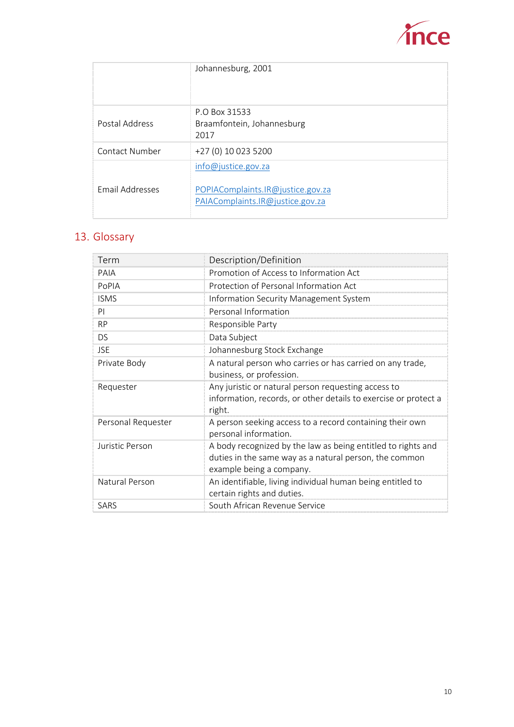

|                        | Johannesburg, 2001                                                                           |
|------------------------|----------------------------------------------------------------------------------------------|
| Postal Address         | P.O. Box 31533<br>Braamfontein, Johannesburg<br>2017                                         |
| Contact Number         | +27 (0) 10 023 5200                                                                          |
| <b>Email Addresses</b> | info@justice.gov.za<br>POPIAComplaints.IR@justice.gov.za<br>PAIAComplaints.IR@justice.gov.za |

## <span id="page-11-0"></span>13. Glossary

| Term               | Description/Definition                                                                                                                             |
|--------------------|----------------------------------------------------------------------------------------------------------------------------------------------------|
| PAIA               | Promotion of Access to Information Act                                                                                                             |
| PoPIA              | Protection of Personal Information Act                                                                                                             |
| <b>ISMS</b>        | Information Security Management System                                                                                                             |
| PI                 | Personal Information                                                                                                                               |
| <b>RP</b>          | Responsible Party                                                                                                                                  |
| <b>DS</b>          | Data Subject                                                                                                                                       |
| <b>JSE</b>         | Johannesburg Stock Exchange                                                                                                                        |
| Private Body       | A natural person who carries or has carried on any trade,<br>business, or profession.                                                              |
| Requester          | Any juristic or natural person requesting access to<br>information, records, or other details to exercise or protect a<br>right.                   |
| Personal Requester | A person seeking access to a record containing their own<br>personal information.                                                                  |
| Juristic Person    | A body recognized by the law as being entitled to rights and<br>duties in the same way as a natural person, the common<br>example being a company. |
| Natural Person     | An identifiable, living individual human being entitled to<br>certain rights and duties.                                                           |
| <b>SARS</b>        | South African Revenue Service                                                                                                                      |